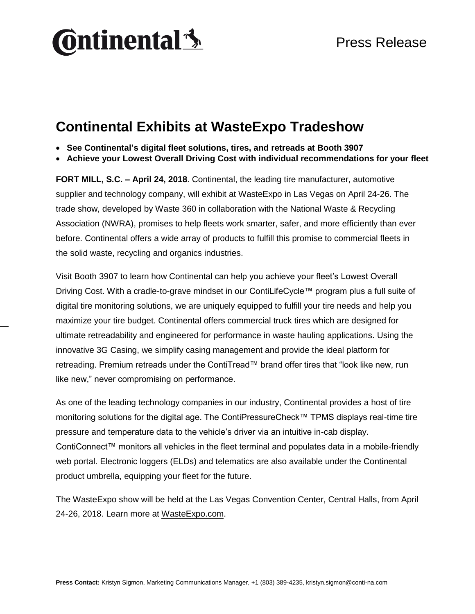# **Ontinental** \$

### **Continental Exhibits at WasteExpo Tradeshow**

- **See Continental's digital fleet solutions, tires, and retreads at Booth 3907**
- **Achieve your Lowest Overall Driving Cost with individual recommendations for your fleet**

**FORT MILL, S.C. – April 24, 2018**. Continental, the leading tire manufacturer, automotive supplier and technology company, will exhibit at WasteExpo in Las Vegas on April 24-26. The trade show, developed by Waste 360 in collaboration with the National Waste & Recycling Association (NWRA), promises to help fleets work smarter, safer, and more efficiently than ever before. Continental offers a wide array of products to fulfill this promise to commercial fleets in the solid waste, recycling and organics industries.

Visit Booth 3907 to learn how Continental can help you achieve your fleet's Lowest Overall Driving Cost. With a cradle-to-grave mindset in our ContiLifeCycle™ program plus a full suite of digital tire monitoring solutions, we are uniquely equipped to fulfill your tire needs and help you maximize your tire budget. Continental offers commercial truck tires which are designed for ultimate retreadability and engineered for performance in waste hauling applications. Using the innovative 3G Casing, we simplify casing management and provide the ideal platform for retreading. Premium retreads under the ContiTread™ brand offer tires that "look like new, run like new," never compromising on performance.

As one of the leading technology companies in our industry, Continental provides a host of tire monitoring solutions for the digital age. The ContiPressureCheck™ TPMS displays real-time tire pressure and temperature data to the vehicle's driver via an intuitive in-cab display. ContiConnect™ monitors all vehicles in the fleet terminal and populates data in a mobile-friendly web portal. Electronic loggers (ELDs) and telematics are also available under the Continental product umbrella, equipping your fleet for the future.

The WasteExpo show will be held at the Las Vegas Convention Center, Central Halls, from April 24-26, 2018. Learn more at [WasteExpo.com.](http://www.wasteexpo.com/we18/Public/eBooth.aspx?IndexInList=0&FromPage=Exhibitors.aspx&ParentBoothID=&ListByBooth=true&BoothID=1308691)